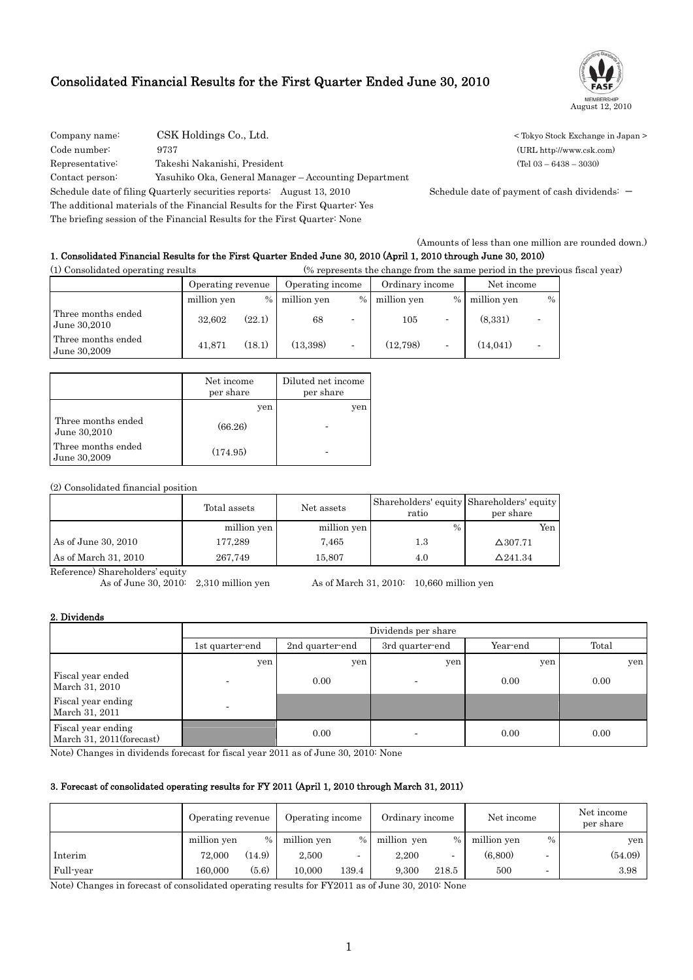# Consolidated Financial Results for the First Quarter Ended June 30, 2010



COMPANY NAME: COMPANY COMPANY COMPANY COMPANY COMPANY COMPANY COMPANY COMPANY COMPANY COMPANY COMPANY COMPANY COMPANY COMPANY COMPANY COMPANY COMPANY COMPANY COMPANY COMPANY COMPANY COMPANY COMPANY COMPANY COMPANY COMPANY Code number: 9737 (URL http://www.csk.com) Representative: Takeshi Nakanishi, President (Tel 03 – 6438 – 3030) Contact person: Yasuhiko Oka, General Manager – Accounting Department Schedule date of filing Quarterly securities reports: August 13, 2010 Schedule date of payment of cash dividends: -The additional materials of the Financial Results for the First Quarter: Yes

The briefing session of the Financial Results for the First Quarter: None

(Amounts of less than one million are rounded down.)

# 1. Consolidated Financial Results for the First Quarter Ended June 30, 2010 (April 1, 2010 through June 30, 2010)

(1) Consolidated operating results (% represents the change from the same period in the previous fiscal year)

|                                    | Operating revenue |        | Operating income |                          | Ordinary income |               | Net income  |      |
|------------------------------------|-------------------|--------|------------------|--------------------------|-----------------|---------------|-------------|------|
|                                    | million yen       | %      | million yen      | $\frac{0}{0}$            | million yen     | $\frac{0}{0}$ | million yen | $\%$ |
| Three months ended<br>June 30,2010 | 32.602            | (22.1) | 68               | $\overline{\phantom{0}}$ | 105             |               | (8,331)     |      |
| Three months ended<br>June 30,2009 | 41.871            | (18.1) | (13, 398)        | ۰                        | (12.798)        |               | (14.041)    |      |

|                                    | Net income<br>per share | Diluted net income<br>per share |
|------------------------------------|-------------------------|---------------------------------|
|                                    | yen                     | yen                             |
| Three months ended<br>June 30,2010 | (66.26)                 |                                 |
| Three months ended<br>June 30,2009 | (174.95)                |                                 |

## (2) Consolidated financial position

|                      | Total assets | Net assets  | Shareholders' equity Shareholders' equity<br>ratio | per share       |  |
|----------------------|--------------|-------------|----------------------------------------------------|-----------------|--|
|                      | million yen  | million yen | $\%$                                               | Yen             |  |
| As of June 30, 2010  | 177.289      | 7.465       | 1.3                                                | $\Delta$ 307.71 |  |
| As of March 31, 2010 | 267,749      | 15.807      | 4.0                                                | $\Delta$ 241.34 |  |

Reference) Shareholders' equity<br>As of June 30, 2010: 2,310 million yen As of March 31, 2010: 10,660 million yen

## 2. Dividends

|                                                                                                                |                       | Dividends per share |                 |          |       |  |  |  |  |  |  |
|----------------------------------------------------------------------------------------------------------------|-----------------------|---------------------|-----------------|----------|-------|--|--|--|--|--|--|
|                                                                                                                | 1st quarter-end       | 2nd quarter-end     | 3rd quarter-end | Year-end | Total |  |  |  |  |  |  |
|                                                                                                                | yen                   | yen                 | yen             | yen      | yen   |  |  |  |  |  |  |
| Fiscal year ended<br>March 31, 2010                                                                            |                       | 0.00                |                 | 0.00     | 0.00  |  |  |  |  |  |  |
| Fiscal year ending<br>March 31, 2011                                                                           |                       |                     |                 |          |       |  |  |  |  |  |  |
| Fiscal year ending<br>March 31, 2011 (forecast)<br>$\mathbf{v} \cdot \mathbf{v} = \mathbf{v} \cdot \mathbf{v}$ | $\alpha$ and $\alpha$ | 0.00                |                 | 0.00     | 0.00  |  |  |  |  |  |  |

Note) Changes in dividends forecast for fiscal year 2011 as of June 30, 2010: None

## 3. Forecast of consolidated operating results for FY 2011 (April 1, 2010 through March 31, 2011)

|           | Operating revenue | Operating income |             |       | Ordinary income |                          | Net income  |                          | Net income<br>per share |
|-----------|-------------------|------------------|-------------|-------|-----------------|--------------------------|-------------|--------------------------|-------------------------|
|           | million yen       | $\frac{0}{0}$    | million yen | $\%$  | million yen     | $\frac{0}{0}$            | million yen | $\%$                     | yen                     |
| Interim   | 72,000            | (14.9)           | 2.500       |       | 2.200           | $\overline{\phantom{0}}$ | (6.800)     | $\overline{\phantom{0}}$ | (54.09)                 |
| Full-year | 160.000           | (5.6)            | 10.000      | 139.4 | 9.300           | 218.5                    | 500         | $\overline{\phantom{a}}$ | 3.98                    |

Note) Changes in forecast of consolidated operating results for FY2011 as of June 30, 2010: None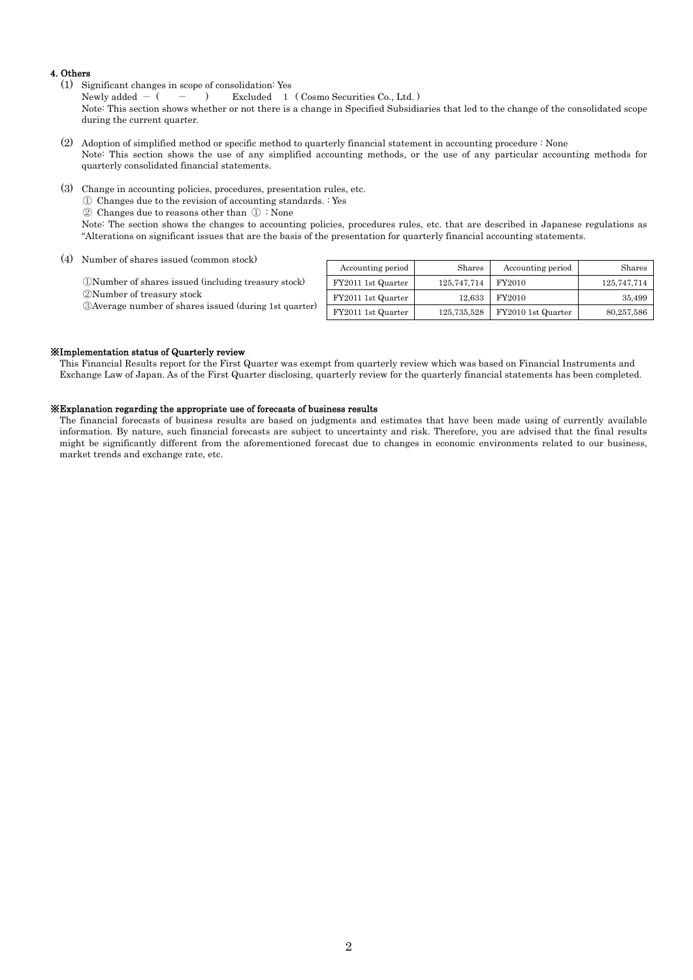## 4. Others

(1) Significant changes in scope of consolidation: Yes

Newly added  $-$  (  $-$  ) Excluded 1 ( Cosmo Securities Co., Ltd. )

Note: This section shows whether or not there is a change in Specified Subsidiaries that led to the change of the consolidated scope during the current quarter.

- (2) Adoption of simplified method or specific method to quarterly financial statement in accounting procedure : None Note: This section shows the use of any simplified accounting methods, or the use of any particular accounting methods for quarterly consolidated financial statements.
- (3) Change in accounting policies, procedures, presentation rules, etc.

① Changes due to the revision of accounting standards. : Yes

② Changes due to reasons other than ① : None

Note: The section shows the changes to accounting policies, procedures rules, etc. that are described in Japanese regulations as "Alterations on significant issues that are the basis of the presentation for quarterly financial accounting statements.

(4) Number of shares issued (common stock)

①Number of shares issued (including treasury stock) ②Number of treasury stock ③Average number of shares issued (during 1st quarter)

| Accounting period  | Shares      | Accounting period  | Shares      |
|--------------------|-------------|--------------------|-------------|
| FY2011 1st Quarter | 125,747,714 | FY2010             | 125,747,714 |
| FY2011 1st Quarter | 12,633      | FY2010             | 35.499      |
| FY2011 1st Quarter | 125,735,528 | FY2010 1st Quarter | 80,257,586  |

### ※Implementation status of Quarterly review

 This Financial Results report for the First Quarter was exempt from quarterly review which was based on Financial Instruments and Exchange Law of Japan. As of the First Quarter disclosing, quarterly review for the quarterly financial statements has been completed.

### ※Explanation regarding the appropriate use of forecasts of business results

 The financial forecasts of business results are based on judgments and estimates that have been made using of currently available information. By nature, such financial forecasts are subject to uncertainty and risk. Therefore, you are advised that the final results might be significantly different from the aforementioned forecast due to changes in economic environments related to our business, market trends and exchange rate, etc.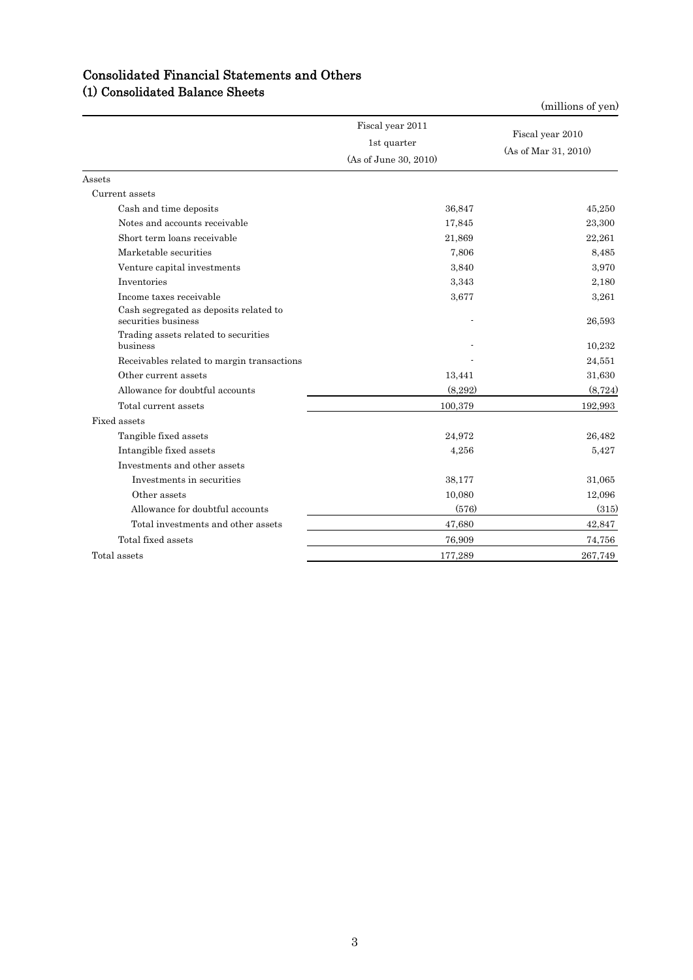|                                                               | Fiscal year 2011<br>1st quarter<br>(As of June 30, 2010) | Fiscal year 2010<br>(As of Mar 31, 2010) |
|---------------------------------------------------------------|----------------------------------------------------------|------------------------------------------|
| Assets                                                        |                                                          |                                          |
| Current assets                                                |                                                          |                                          |
| Cash and time deposits                                        | 36,847                                                   | 45,250                                   |
| Notes and accounts receivable                                 | 17,845                                                   | 23,300                                   |
| Short term loans receivable                                   | 21,869                                                   | 22,261                                   |
| Marketable securities                                         | 7,806                                                    | 8,485                                    |
| Venture capital investments                                   | 3.840                                                    | 3.970                                    |
| Inventories                                                   | 3.343                                                    | 2,180                                    |
| Income taxes receivable                                       | 3.677                                                    | 3,261                                    |
| Cash segregated as deposits related to<br>securities business |                                                          | 26,593                                   |
| Trading assets related to securities<br>business              |                                                          | 10,232                                   |
| Receivables related to margin transactions                    |                                                          | 24,551                                   |
| Other current assets                                          | 13,441                                                   | 31,630                                   |
| Allowance for doubtful accounts                               | (8,292)                                                  | (8, 724)                                 |
| Total current assets                                          | 100,379                                                  | 192,993                                  |
| Fixed assets                                                  |                                                          |                                          |
| Tangible fixed assets                                         | 24,972                                                   | 26,482                                   |
| Intangible fixed assets                                       | 4,256                                                    | 5.427                                    |
| Investments and other assets                                  |                                                          |                                          |
| Investments in securities                                     | 38,177                                                   | 31,065                                   |
| Other assets                                                  | 10,080                                                   | 12,096                                   |
| Allowance for doubtful accounts                               | (576)                                                    | (315)                                    |
| Total investments and other assets                            | 47,680                                                   | 42,847                                   |
| Total fixed assets                                            | 76,909                                                   | 74,756                                   |
| Total assets                                                  | 177,289                                                  | 267,749                                  |

# Consolidated Financial Statements and Others (1) Consolidated Balance Sheets

(millions of yen)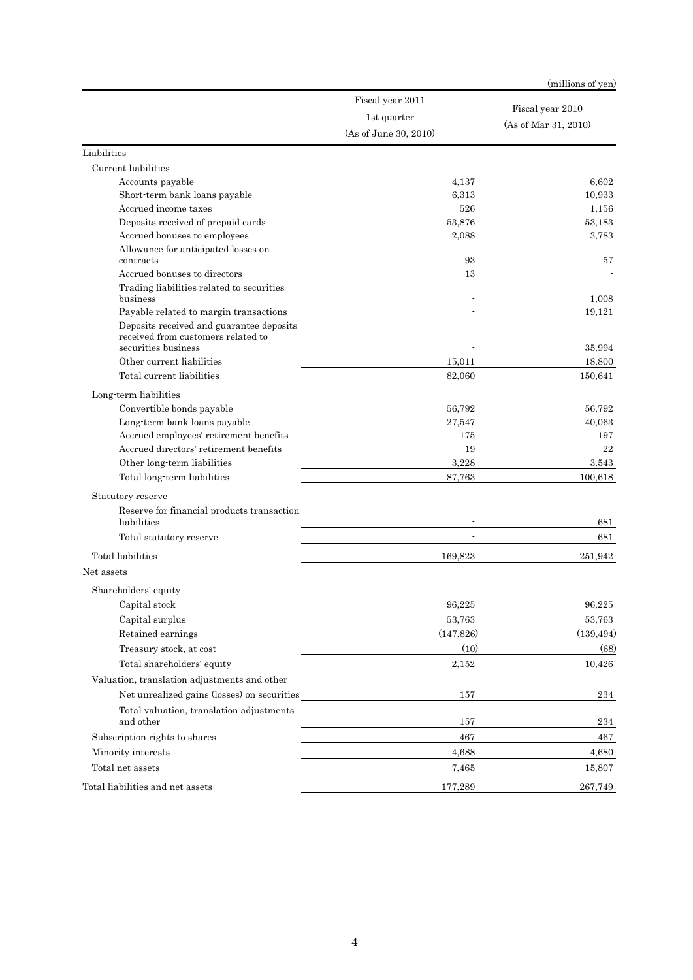|                                                                                |                       | (millions of yen)    |
|--------------------------------------------------------------------------------|-----------------------|----------------------|
|                                                                                | Fiscal year 2011      | Fiscal year 2010     |
|                                                                                | 1st quarter           | (As of Mar 31, 2010) |
|                                                                                | (As of June 30, 2010) |                      |
| Liabilities                                                                    |                       |                      |
| Current liabilities                                                            |                       |                      |
| Accounts payable                                                               | 4,137                 | 6,602                |
| Short-term bank loans payable                                                  | 6,313                 | 10,933               |
| Accrued income taxes                                                           | 526                   | 1,156                |
| Deposits received of prepaid cards                                             | 53,876                | 53,183               |
| Accrued bonuses to employees                                                   | 2,088                 | 3,783                |
| Allowance for anticipated losses on<br>contracts                               | 93                    | 57                   |
| Accrued bonuses to directors                                                   | 13                    |                      |
| Trading liabilities related to securities<br>business                          |                       | 1,008                |
| Payable related to margin transactions                                         |                       | 19,121               |
| Deposits received and guarantee deposits<br>received from customers related to |                       |                      |
| securities business                                                            |                       | 35,994               |
| Other current liabilities                                                      | 15,011                | 18,800               |
| Total current liabilities                                                      | 82,060                | 150,641              |
| Long term liabilities                                                          |                       |                      |
| Convertible bonds payable                                                      | 56,792                | 56,792               |
| Long-term bank loans payable                                                   | 27,547                | 40,063               |
| Accrued employees' retirement benefits                                         | 175                   | 197                  |
| Accrued directors' retirement benefits                                         | 19                    | 22                   |
| Other long term liabilities                                                    | 3,228                 | 3,543                |
| Total long-term liabilities                                                    | 87,763                | 100,618              |
| Statutory reserve                                                              |                       |                      |
| Reserve for financial products transaction<br>liabilities                      |                       | 681                  |
| Total statutory reserve                                                        |                       | 681                  |
| Total liabilities                                                              | 169,823               | 251,942              |
| Net assets                                                                     |                       |                      |
| Shareholders' equity                                                           |                       |                      |
|                                                                                |                       |                      |
| Capital stock<br>Capital surplus                                               | 96,225<br>53,763      | 96,225<br>53,763     |
|                                                                                | (147, 826)            | (139, 494)           |
| Retained earnings                                                              |                       |                      |
| Treasury stock, at cost                                                        | (10)                  | (68)                 |
| Total shareholders' equity                                                     | 2,152                 | 10,426               |
| Valuation, translation adjustments and other                                   |                       |                      |
| Net unrealized gains (losses) on securities                                    | 157                   | 234                  |
| Total valuation, translation adjustments<br>and other                          | 157                   | 234                  |
| Subscription rights to shares                                                  | 467                   | 467                  |
| Minority interests                                                             | 4,688                 | 4,680                |
| Total net assets                                                               | 7,465                 | 15,807               |
| Total liabilities and net assets                                               | 177,289               | 267,749              |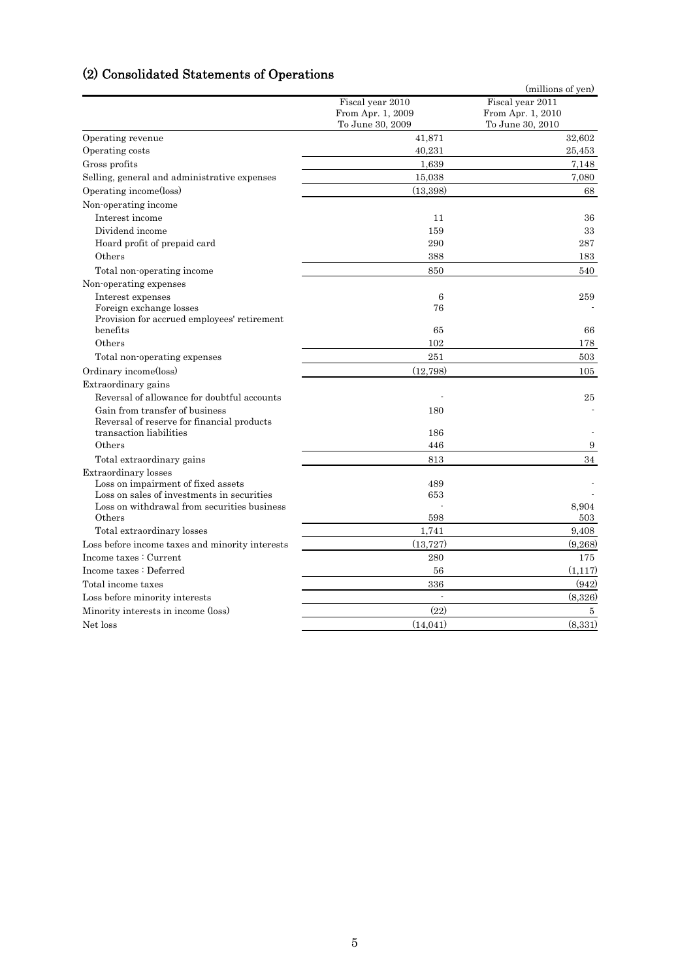# (2) Consolidated Statements of Operations

|                                                                                           |                   | (millions of yen) |
|-------------------------------------------------------------------------------------------|-------------------|-------------------|
|                                                                                           | Fiscal year 2010  | Fiscal year 2011  |
|                                                                                           | From Apr. 1, 2009 | From Apr. 1, 2010 |
|                                                                                           | To June 30, 2009  | To June 30, 2010  |
| Operating revenue                                                                         | 41,871            | 32,602            |
| Operating costs                                                                           | 40.231            | 25,453            |
| Gross profits                                                                             | 1,639             | 7,148             |
| Selling, general and administrative expenses                                              | 15,038            | 7,080             |
| Operating income(loss)                                                                    | (13,398)          | 68                |
| Non-operating income                                                                      |                   |                   |
| Interest income                                                                           | 11                | 36                |
| Dividend income                                                                           | 159               | 33                |
| Hoard profit of prepaid card                                                              | 290               | 287               |
| Others                                                                                    | 388               | 183               |
| Total non-operating income                                                                | 850               | 540               |
| Non-operating expenses                                                                    |                   |                   |
| Interest expenses                                                                         | 6                 | 259               |
| Foreign exchange losses                                                                   | 76                |                   |
| Provision for accrued employees' retirement                                               |                   |                   |
| benefits                                                                                  | 65                | 66                |
| Others                                                                                    | 102               | 178               |
| Total non-operating expenses                                                              | 251               | 503               |
| Ordinary income(loss)                                                                     | (12,798)          | 105               |
| Extraordinary gains                                                                       |                   |                   |
| Reversal of allowance for doubtful accounts                                               |                   | 25                |
| Gain from transfer of business                                                            | 180               |                   |
| Reversal of reserve for financial products                                                |                   |                   |
| transaction liabilities                                                                   | 186               |                   |
| Others                                                                                    | 446               | 9                 |
| Total extraordinary gains                                                                 | 813               | 34                |
| Extraordinary losses                                                                      |                   |                   |
| Loss on impairment of fixed assets                                                        | 489               |                   |
| Loss on sales of investments in securities<br>Loss on withdrawal from securities business | 653               |                   |
| Others                                                                                    | 598               | 8,904<br>503      |
| Total extraordinary losses                                                                | 1,741             | 9,408             |
| Loss before income taxes and minority interests                                           | (13, 727)         | (9,268)           |
| Income taxes : Current                                                                    | 280               | 175               |
| Income taxes : Deferred                                                                   | 56                | (1,117)           |
|                                                                                           |                   |                   |
| Total income taxes                                                                        | 336               | (942)             |
| Loss before minority interests                                                            |                   | (8,326)           |
| Minority interests in income (loss)                                                       | (22)              | 5                 |
| Net loss                                                                                  | (14, 041)         | (8,331)           |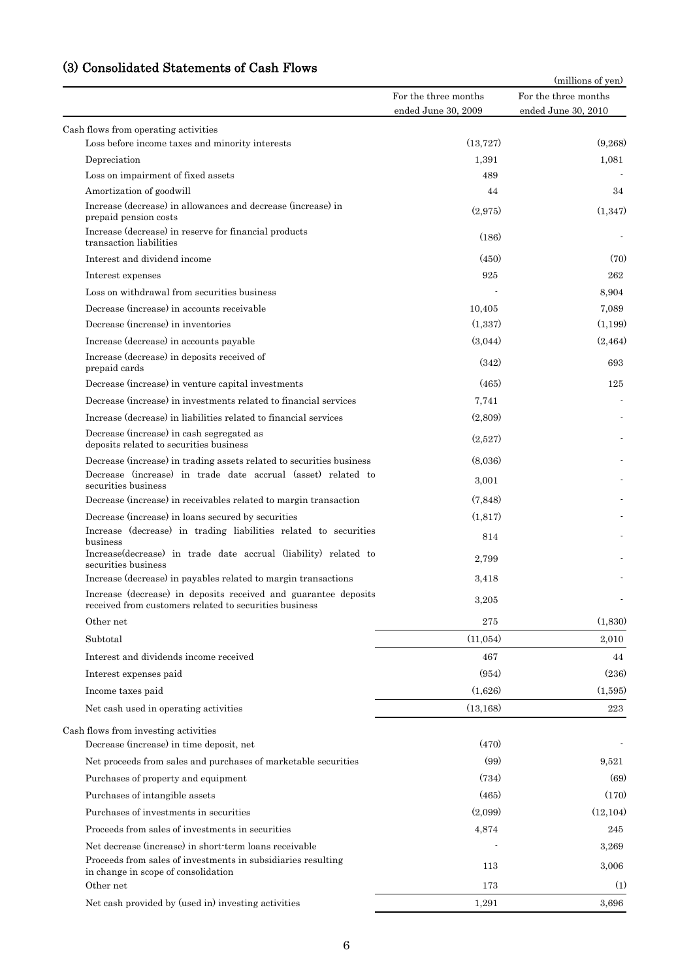# (3) Consolidated Statements of Cash Flows

|                                                                                                                           |                                             | (millions of yen)                           |  |  |
|---------------------------------------------------------------------------------------------------------------------------|---------------------------------------------|---------------------------------------------|--|--|
|                                                                                                                           | For the three months<br>ended June 30, 2009 | For the three months<br>ended June 30, 2010 |  |  |
| Cash flows from operating activities                                                                                      |                                             |                                             |  |  |
| Loss before income taxes and minority interests                                                                           | (13, 727)                                   | (9,268)                                     |  |  |
| Depreciation                                                                                                              | 1,391                                       | 1,081                                       |  |  |
| Loss on impairment of fixed assets                                                                                        | 489                                         |                                             |  |  |
| Amortization of goodwill                                                                                                  | 44                                          | 34                                          |  |  |
| Increase (decrease) in allowances and decrease (increase) in<br>prepaid pension costs                                     | (2,975)                                     | (1,347)                                     |  |  |
| Increase (decrease) in reserve for financial products<br>transaction liabilities                                          | (186)                                       |                                             |  |  |
| Interest and dividend income                                                                                              | (450)                                       | (70)                                        |  |  |
| Interest expenses                                                                                                         | 925                                         | 262                                         |  |  |
| Loss on withdrawal from securities business                                                                               |                                             | 8.904                                       |  |  |
| Decrease (increase) in accounts receivable                                                                                | 10,405                                      | 7,089                                       |  |  |
| Decrease (increase) in inventories                                                                                        | (1,337)                                     | (1,199)                                     |  |  |
| Increase (decrease) in accounts payable                                                                                   | (3,044)                                     | (2, 464)                                    |  |  |
| Increase (decrease) in deposits received of<br>prepaid cards                                                              | (342)                                       | 693                                         |  |  |
| Decrease (increase) in venture capital investments                                                                        | (465)                                       | 125                                         |  |  |
| Decrease (increase) in investments related to financial services                                                          | 7,741                                       |                                             |  |  |
| Increase (decrease) in liabilities related to financial services                                                          | (2,809)                                     |                                             |  |  |
| Decrease (increase) in cash segregated as<br>deposits related to securities business                                      | (2,527)                                     |                                             |  |  |
| Decrease (increase) in trading assets related to securities business                                                      | (8,036)                                     |                                             |  |  |
| Decrease (increase) in trade date accrual (asset) related to<br>securities business                                       | 3,001                                       |                                             |  |  |
| Decrease (increase) in receivables related to margin transaction                                                          | (7, 848)                                    |                                             |  |  |
| Decrease (increase) in loans secured by securities                                                                        | (1,817)                                     |                                             |  |  |
| Increase (decrease) in trading liabilities related to securities<br>business                                              | 814                                         |                                             |  |  |
| Increase(decrease) in trade date accrual (liability) related to<br>securities business                                    | 2,799                                       |                                             |  |  |
| Increase (decrease) in payables related to margin transactions                                                            | 3,418                                       |                                             |  |  |
| Increase (decrease) in deposits received and guarantee deposits<br>received from customers related to securities business | 3,205                                       |                                             |  |  |
| Other net                                                                                                                 | 275                                         | (1,830)                                     |  |  |
| Subtotal                                                                                                                  | (11,054)                                    | 2,010                                       |  |  |
| Interest and dividends income received                                                                                    | 467                                         | 44                                          |  |  |
| Interest expenses paid                                                                                                    | (954)                                       | (236)                                       |  |  |
| Income taxes paid                                                                                                         | (1,626)                                     | (1,595)                                     |  |  |
| Net cash used in operating activities                                                                                     | (13, 168)                                   | 223                                         |  |  |
| Cash flows from investing activities                                                                                      |                                             |                                             |  |  |
| Decrease (increase) in time deposit, net                                                                                  | (470)                                       |                                             |  |  |
| Net proceeds from sales and purchases of marketable securities                                                            | (99)                                        | 9,521                                       |  |  |
| Purchases of property and equipment                                                                                       | (734)                                       | (69)                                        |  |  |
| Purchases of intangible assets                                                                                            | (465)                                       | (170)                                       |  |  |
| Purchases of investments in securities                                                                                    | (2.099)                                     | (12, 104)                                   |  |  |
| Proceeds from sales of investments in securities                                                                          |                                             | 245                                         |  |  |
|                                                                                                                           | 4,874                                       |                                             |  |  |
| Net decrease (increase) in short-term loans receivable<br>Proceeds from sales of investments in subsidiaries resulting    | 113                                         | 3,269<br>3,006                              |  |  |
| in change in scope of consolidation<br>Other net                                                                          | 173                                         | (1)                                         |  |  |
| Net cash provided by (used in) investing activities                                                                       | 1,291                                       | 3,696                                       |  |  |
|                                                                                                                           |                                             |                                             |  |  |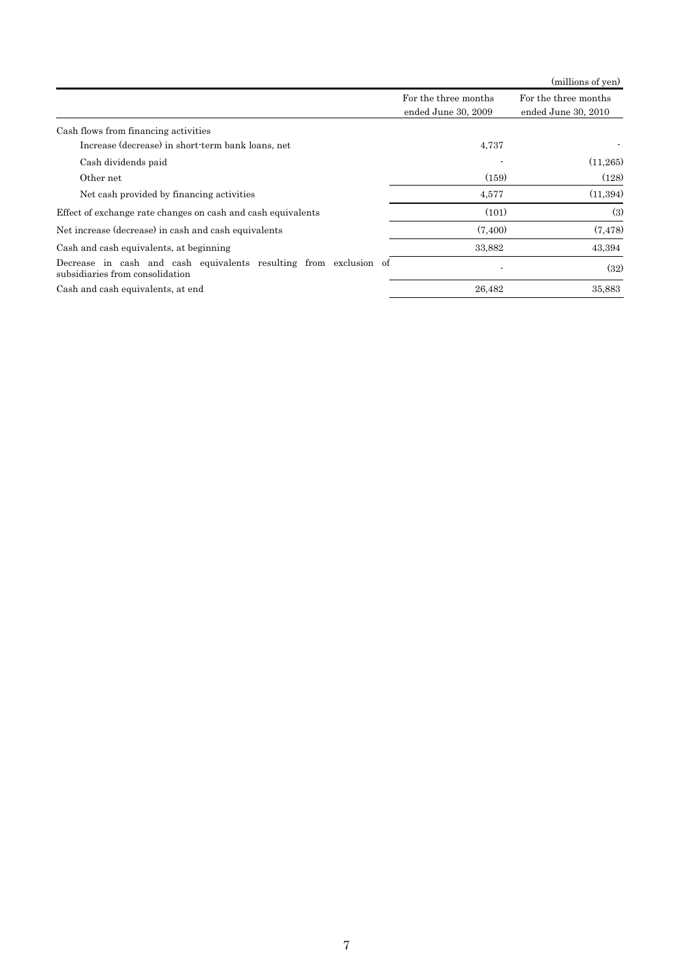|                                                                                                      |                                             | (millions of yen)                           |
|------------------------------------------------------------------------------------------------------|---------------------------------------------|---------------------------------------------|
|                                                                                                      | For the three months<br>ended June 30, 2009 | For the three months<br>ended June 30, 2010 |
| Cash flows from financing activities                                                                 |                                             |                                             |
| Increase (decrease) in short-term bank loans, net                                                    | 4,737                                       |                                             |
| Cash dividends paid                                                                                  |                                             | (11,265)                                    |
| Other net                                                                                            | (159)                                       | (128)                                       |
| Net cash provided by financing activities                                                            | 4,577                                       | (11,394)                                    |
| Effect of exchange rate changes on cash and cash equivalents                                         | (101)                                       | (3)                                         |
| Net increase (decrease) in cash and cash equivalents                                                 | (7,400)                                     | (7, 478)                                    |
| Cash and cash equivalents, at beginning                                                              | 33,882                                      | 43,394                                      |
| Decrease in cash and cash equivalents resulting from exclusion of<br>subsidiaries from consolidation |                                             | (32)                                        |
| Cash and cash equivalents, at end                                                                    | 26,482                                      | 35,883                                      |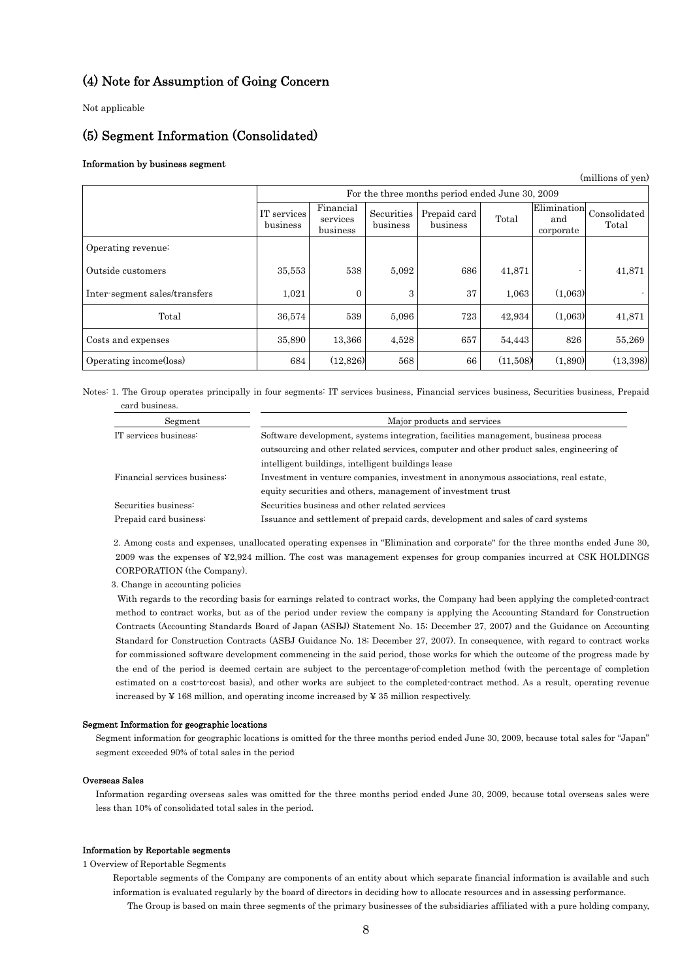# (4) Note for Assumption of Going Concern

Not applicable

# (5) Segment Information (Consolidated)

## Information by business segment

(millions of yen)

|                               |                         |                                   |                        | For the three months period ended June 30, 2009 |          |                  |                                                            |
|-------------------------------|-------------------------|-----------------------------------|------------------------|-------------------------------------------------|----------|------------------|------------------------------------------------------------|
|                               | IT services<br>business | Financial<br>services<br>business | Securities<br>business | Prepaid card<br>business                        | Total    | and<br>corporate | $\boxed{\text{Elimination}}{\text{Consolidated}}$<br>Total |
| Operating revenue:            |                         |                                   |                        |                                                 |          |                  |                                                            |
| Outside customers             | 35,553                  | 538                               | 5.092                  | 686                                             | 41,871   |                  | 41,871                                                     |
| Inter-segment sales/transfers | 1,021                   | $\mathbf{0}$                      | 3                      | 37                                              | 1.063    | (1.063)          |                                                            |
| Total                         | 36,574                  | 539                               | 5,096                  | 723                                             | 42,934   | (1.063)          | 41,871                                                     |
| Costs and expenses            | 35,890                  | 13.366                            | 4.528                  | 657                                             | 54,443   | 826              | 55.269                                                     |
| Operating income(loss)        | 684                     | (12,826)                          | 568                    | 66                                              | (11,508) | (1,890)          | (13,398)                                                   |

Notes: 1. The Group operates principally in four segments: IT services business, Financial services business, Securities business, Prepaid card business.

| Segment                      | Major products and services                                                              |  |  |  |  |  |
|------------------------------|------------------------------------------------------------------------------------------|--|--|--|--|--|
| IT services business:        | Software development, systems integration, facilities management, business process       |  |  |  |  |  |
|                              | outsourcing and other related services, computer and other product sales, engineering of |  |  |  |  |  |
|                              | intelligent buildings, intelligent buildings lease                                       |  |  |  |  |  |
| Financial services business: | Investment in venture companies, investment in anonymous associations, real estate,      |  |  |  |  |  |
|                              | equity securities and others, management of investment trust                             |  |  |  |  |  |
| Securities business:         | Securities business and other related services                                           |  |  |  |  |  |
| Prepaid card business:       | Issuance and settlement of prepaid cards, development and sales of card systems          |  |  |  |  |  |

2. Among costs and expenses, unallocated operating expenses in "Elimination and corporate" for the three months ended June 30, 2009 was the expenses of ¥2,924 million. The cost was management expenses for group companies incurred at CSK HOLDINGS CORPORATION (the Company).

3. Change in accounting policies

 With regards to the recording basis for earnings related to contract works, the Company had been applying the completed-contract method to contract works, but as of the period under review the company is applying the Accounting Standard for Construction Contracts (Accounting Standards Board of Japan (ASBJ) Statement No. 15; December 27, 2007) and the Guidance on Accounting Standard for Construction Contracts (ASBJ Guidance No. 18; December 27, 2007). In consequence, with regard to contract works for commissioned software development commencing in the said period, those works for which the outcome of the progress made by the end of the period is deemed certain are subject to the percentage-of-completion method (with the percentage of completion estimated on a cost-to-cost basis), and other works are subject to the completed-contract method. As a result, operating revenue increased by  $\frac{1}{2}$  168 million, and operating income increased by  $\frac{1}{2}$  35 million respectively.

#### Segment Information for geographic locations

Segment information for geographic locations is omitted for the three months period ended June 30, 2009, because total sales for "Japan" segment exceeded 90% of total sales in the period

#### Overseas Sales

Information regarding overseas sales was omitted for the three months period ended June 30, 2009, because total overseas sales were less than 10% of consolidated total sales in the period.

## Information by Reportable segments

1 Overview of Reportable Segments

 Reportable segments of the Company are components of an entity about which separate financial information is available and such information is evaluated regularly by the board of directors in deciding how to allocate resources and in assessing performance. The Group is based on main three segments of the primary businesses of the subsidiaries affiliated with a pure holding company,